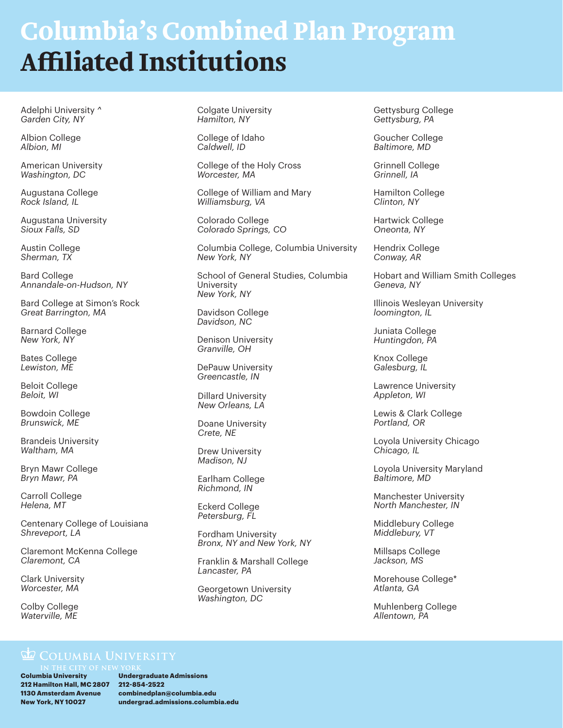## **Columbia's Combined Plan Program Affiliated Institutions**

Adelphi University *^ Garden City, NY*

Albion College *Albion, MI*

American University *Washington, DC*

Augustana College *Rock Island, IL*

Augustana University *Sioux Falls, SD*

Austin College *Sherman, TX* 

Bard College *Annandale-on-Hudson, NY*

Bard College at Simon's Rock *Great Barrington, MA*

Barnard College *New York, NY*

Bates College *Lewiston, ME*

Beloit College *Beloit, WI*

Bowdoin College *Brunswick, ME*

Brandeis University *Waltham, MA*

Bryn Mawr College *Bryn Mawr, PA*

Carroll College *Helena, MT*

Centenary College of Louisiana *Shreveport, LA*

Claremont McKenna College *Claremont, CA*

Clark University *Worcester, MA*

Colby College *Waterville, ME*

Colgate University *Hamilton, NY*

College of Idaho *Caldwell, ID*

College of the Holy Cross *Worcester, MA*

College of William and Mary *Williamsburg, VA*

Colorado College *Colorado Springs, CO*

Columbia College, Columbia University *New York, NY*

School of General Studies, Columbia University *New York, NY*

Davidson College *Davidson, NC*

Denison University *Granville, OH*

DePauw University *Greencastle, IN*

Dillard University *New Orleans, LA*

Doane University *Crete, NE*

Drew University *Madison, NJ*

Earlham College *Richmond, IN*

Eckerd College *Petersburg, FL*

Fordham University *Bronx, NY and New York, NY*

Franklin & Marshall College *Lancaster, PA*

Georgetown University *Washington, DC*

Gettysburg College *Gettysburg, PA*

Goucher College *Baltimore, MD*

Grinnell College *Grinnell, IA*

Hamilton College *Clinton, NY*

Hartwick College *Oneonta, NY*

Hendrix College *Conway, AR*

Hobart and William Smith Colleges *Geneva, NY*

Illinois Wesleyan University *loomington, IL*

Juniata College *Huntingdon, PA*

Knox College *Galesburg, IL*

Lawrence University *Appleton, WI*

Lewis & Clark College *Portland, OR*

Loyola University Chicago *Chicago, IL* 

Loyola University Maryland *Baltimore, MD*

Manchester University *North Manchester, IN*

Middlebury College *Middlebury, VT* 

Millsaps College *Jackson, MS*

Morehouse College\* *Atlanta, GA*

Muhlenberg College *Allentown, PA*

## **Le COLUMBIA UNIVERSITY**

**Columbia University 212 Hamilton Hall, MC 2807 212-854-2522 1130 Amsterdam Avenue New York, NY 10027**

**Undergraduate Admissions combinedplan@columbia.edu undergrad.admissions.columbia.edu**